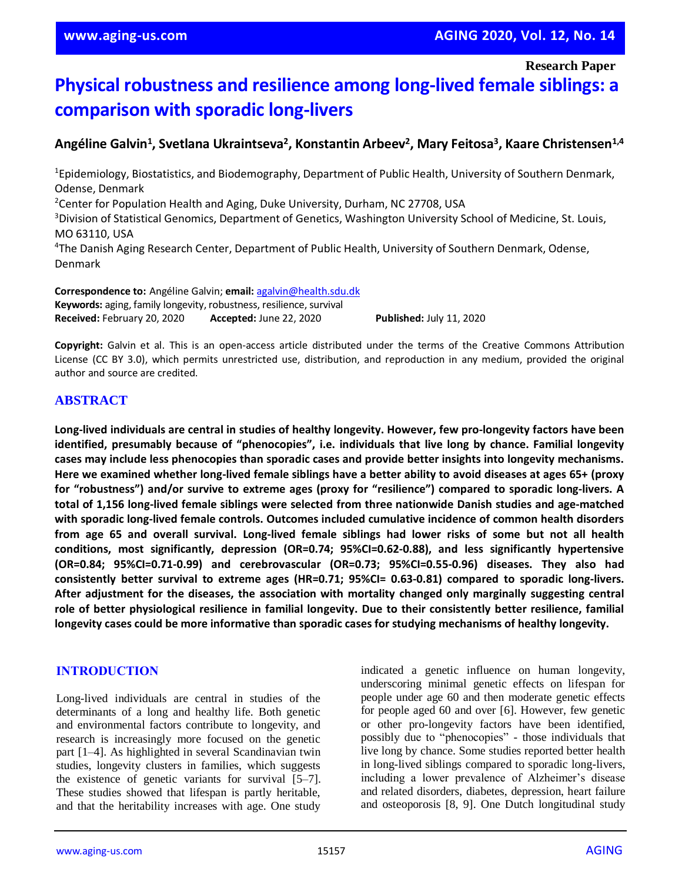**Research Paper**

# **Physical robustness and resilience among long-lived female siblings: a comparison with sporadic long-livers**

# **Angéline Galvin<sup>1</sup> , Svetlana Ukraintseva<sup>2</sup> , Konstantin Arbeev<sup>2</sup> , Mary Feitosa<sup>3</sup> , Kaare Christensen1,4**

<sup>1</sup>Epidemiology, Biostatistics, and Biodemography, Department of Public Health, University of Southern Denmark, Odense, Denmark <sup>2</sup>Center for Population Health and Aging, Duke University, Durham, NC 27708, USA <sup>3</sup>Division of Statistical Genomics, Department of Genetics, Washington University School of Medicine, St. Louis, MO 63110, USA 4 The Danish Aging Research Center, Department of Public Health, University of Southern Denmark, Odense, Denmark

**Correspondence to:** Angéline Galvin; **email:** [agalvin@health.sdu.dk](mailto:agalvin@health.sdu.dk) **Keywords:** aging, family longevity, robustness, resilience, survival **Received:** February 20, 2020 **Accepted:** June 22, 2020 **Published:** July 11, 2020

**Copyright:** Galvin et al. This is an open-access article distributed under the terms of the Creative Commons Attribution License (CC BY 3.0), which permits unrestricted use, distribution, and reproduction in any medium, provided the original author and source are credited.

## **ABSTRACT**

**Long-lived individuals are central in studies of healthy longevity. However, few pro-longevity factors have been identified, presumably because of "phenocopies", i.e. individuals that live long by chance. Familial longevity cases may include less phenocopies than sporadic cases and provide better insights into longevity mechanisms.** Here we examined whether long-lived female siblings have a better ability to avoid diseases at ages 65+ (proxy **for "robustness") and/or survive to extreme ages (proxy for "resilience") compared to sporadic long-livers. A total of 1,156 long-lived female siblings were selected from three nationwide Danish studies and age-matched with sporadic long-lived female controls. Outcomes included cumulative incidence of common health disorders** from age 65 and overall survival. Long-lived female siblings had lower risks of some but not all health **conditions, most significantly, depression (OR=0.74; 95%CI=0.62-0.88), and less significantly hypertensive (OR=0.84; 95%CI=0.71-0.99) and cerebrovascular (OR=0.73; 95%CI=0.55-0.96) diseases. They also had consistently better survival to extreme ages (HR=0.71; 95%CI= 0.63-0.81) compared to sporadic long-livers. After adjustment for the diseases, the association with mortality changed only marginally suggesting central role of better physiological resilience in familial longevity. Due to their consistently better resilience, familial longevity cases could be more informative than sporadic cases for studying mechanisms of healthy longevity.**

#### **INTRODUCTION**

Long-lived individuals are central in studies of the determinants of a long and healthy life. Both genetic and environmental factors contribute to longevity, and research is increasingly more focused on the genetic part [1–4]. As highlighted in several Scandinavian twin studies, longevity clusters in families, which suggests the existence of genetic variants for survival [5–7]. These studies showed that lifespan is partly heritable, and that the heritability increases with age. One study indicated a genetic influence on human longevity, underscoring minimal genetic effects on lifespan for people under age 60 and then moderate genetic effects for people aged 60 and over [6]. However, few genetic or other pro-longevity factors have been identified, possibly due to "phenocopies" - those individuals that live long by chance. Some studies reported better health in long-lived siblings compared to sporadic long-livers, including a lower prevalence of Alzheimer's disease and related disorders, diabetes, depression, heart failure and osteoporosis [8, 9]. One Dutch longitudinal study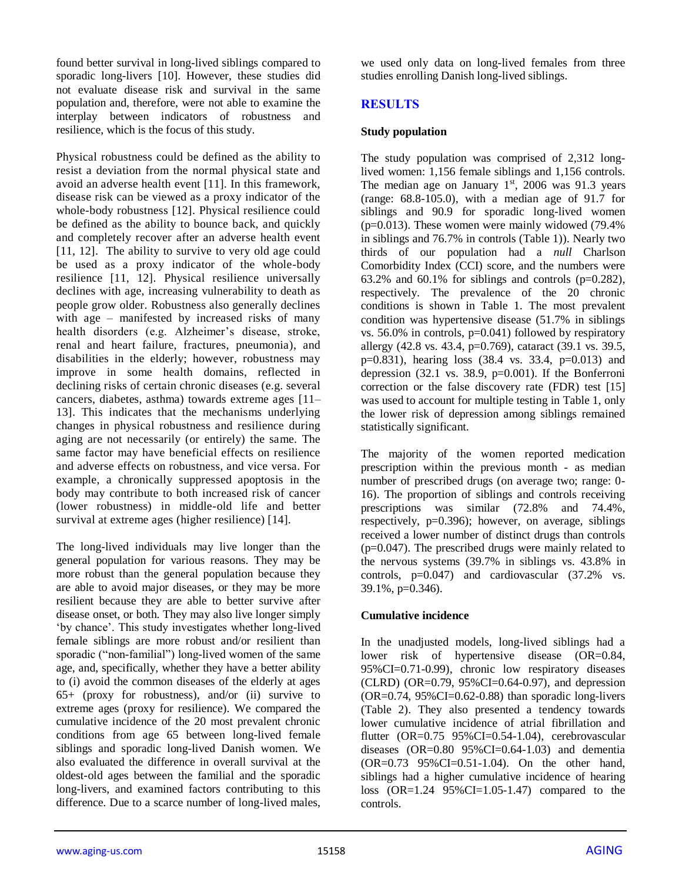found better survival in long-lived siblings compared to sporadic long-livers [10]. However, these studies did not evaluate disease risk and survival in the same population and, therefore, were not able to examine the interplay between indicators of robustness and resilience, which is the focus of this study.

Physical robustness could be defined as the ability to resist a deviation from the normal physical state and avoid an adverse health event [11]. In this framework, disease risk can be viewed as a proxy indicator of the whole-body robustness [12]. Physical resilience could be defined as the ability to bounce back, and quickly and completely recover after an adverse health event [11, 12]. The ability to survive to very old age could be used as a proxy indicator of the whole-body resilience [11, 12]. Physical resilience universally declines with age, increasing vulnerability to death as people grow older. Robustness also generally declines with age – manifested by increased risks of many health disorders (e.g. Alzheimer's disease, stroke, renal and heart failure, fractures, pneumonia), and disabilities in the elderly; however, robustness may improve in some health domains, reflected in declining risks of certain chronic diseases (e.g. several cancers, diabetes, asthma) towards extreme ages [11– 13]. This indicates that the mechanisms underlying changes in physical robustness and resilience during aging are not necessarily (or entirely) the same. The same factor may have beneficial effects on resilience and adverse effects on robustness, and vice versa. For example, a chronically suppressed apoptosis in the body may contribute to both increased risk of cancer (lower robustness) in middle-old life and better survival at extreme ages (higher resilience) [14].

The long-lived individuals may live longer than the general population for various reasons. They may be more robust than the general population because they are able to avoid major diseases, or they may be more resilient because they are able to better survive after disease onset, or both. They may also live longer simply 'by chance'. This study investigates whether long-lived female siblings are more robust and/or resilient than sporadic ("non-familial") long-lived women of the same age, and, specifically, whether they have a better ability to (i) avoid the common diseases of the elderly at ages  $65+$  (proxy for robustness), and/or (ii) survive to extreme ages (proxy for resilience). We compared the cumulative incidence of the 20 most prevalent chronic conditions from age 65 between long-lived female siblings and sporadic long-lived Danish women. We also evaluated the difference in overall survival at the oldest-old ages between the familial and the sporadic long-livers, and examined factors contributing to this difference. Due to a scarce number of long-lived males, we used only data on long-lived females from three studies enrolling Danish long-lived siblings.

## **RESULTS**

#### **Study population**

The study population was comprised of 2,312 longlived women: 1,156 female siblings and 1,156 controls. The median age on January  $1<sup>st</sup>$ , 2006 was 91.3 years (range:  $68.8-105.0$ ), with a median age of 91.7 for siblings and 90.9 for sporadic long-lived women  $(p=0.013)$ . These women were mainly widowed (79.4%) in siblings and 76.7% in controls (Table 1)). Nearly two thirds of our population had a *null* Charlson Comorbidity Index (CCI) score, and the numbers were 63.2% and 60.1% for siblings and controls  $(p=0.282)$ , respectively. The prevalence of the 20 chronic conditions is shown in Table 1. The most prevalent condition was hypertensive disease (51.7% in siblings vs. 56.0% in controls,  $p=0.041$ ) followed by respiratory allergy  $(42.8 \text{ vs. } 43.4, \text{ p}=0.769)$ , cataract  $(39.1 \text{ vs. } 39.5, \text{ } 39.5)$ p=0.831), hearing loss (38.4 vs. 33.4, p=0.013) and depression  $(32.1 \text{ vs. } 38.9, \text{ p=0.001}).$  If the Bonferroni correction or the false discovery rate (FDR) test [15] was used to account for multiple testing in Table 1, only the lower risk of depression among siblings remained statistically significant.

The majority of the women reported medication prescription within the previous month - as median number of prescribed drugs (on average two; range: 0- 16). The proportion of siblings and controls receiving prescriptions was similar (72.8% and 74.4%, respectively, p=0.396); however, on average, siblings received a lower number of distinct drugs than controls (p=0.047). The prescribed drugs were mainly related to the nervous systems (39.7% in siblings vs. 43.8% in controls, p=0.047) and cardiovascular (37.2% vs. 39.1%, p=0.346).

#### **Cumulative incidence**

In the unadjusted models, long-lived siblings had a lower risk of hypertensive disease (OR=0.84, 95%CI=0.71-0.99), chronic low respiratory diseases (CLRD) (OR=0.79, 95%CI=0.64-0.97), and depression  $(OR=0.74, 95\% CI=0.62-0.88)$  than sporadic long-livers (Table 2). They also presented a tendency towards lower cumulative incidence of atrial fibrillation and flutter  $(OR=0.75 \ 95\% CI=0.54-1.04)$ , cerebrovascular diseases  $(OR=0.80 \ 95\% CI=0.64-1.03)$  and dementia (OR=0.73 95%CI=0.51-1.04). On the other hand, siblings had a higher cumulative incidence of hearing loss (OR=1.24 95%CI=1.05-1.47) compared to the controls.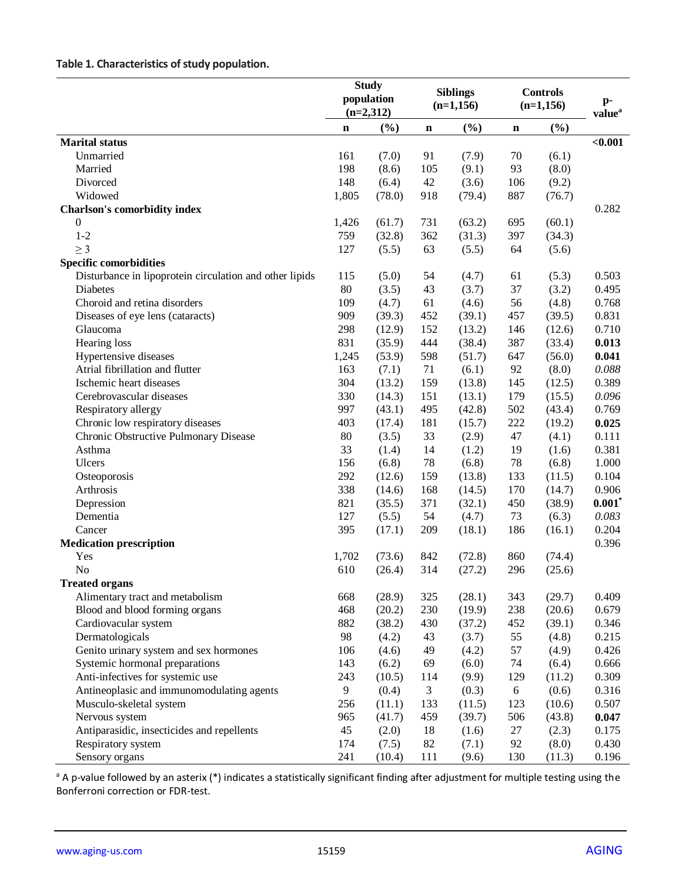# **Table 1. Characteristics of study population.**

|                                                         | <b>Study</b><br>population<br>$(n=2,312)$ |        | <b>Siblings</b><br>$(n=1,156)$ |        | <b>Controls</b><br>$(n=1,156)$ |        | $\mathbf{p}$ -<br>value <sup>a</sup> |
|---------------------------------------------------------|-------------------------------------------|--------|--------------------------------|--------|--------------------------------|--------|--------------------------------------|
|                                                         |                                           |        |                                |        |                                |        |                                      |
|                                                         |                                           |        |                                |        |                                |        |                                      |
|                                                         | n                                         | (%)    | n                              | (%)    | $\mathbf n$                    | (%)    |                                      |
| <b>Marital</b> status                                   |                                           |        |                                |        |                                |        | < 0.001                              |
| Unmarried                                               | 161                                       | (7.0)  | 91                             | (7.9)  | 70                             | (6.1)  |                                      |
| Married                                                 | 198                                       | (8.6)  | 105                            | (9.1)  | 93                             | (8.0)  |                                      |
| Divorced                                                | 148                                       | (6.4)  | 42                             | (3.6)  | 106                            | (9.2)  |                                      |
| Widowed                                                 | 1,805                                     | (78.0) | 918                            | (79.4) | 887                            | (76.7) |                                      |
| <b>Charlson's comorbidity index</b>                     |                                           |        |                                |        |                                |        | 0.282                                |
| 0                                                       | 1,426                                     | (61.7) | 731                            | (63.2) | 695                            | (60.1) |                                      |
| $1 - 2$                                                 | 759                                       | (32.8) | 362                            | (31.3) | 397                            | (34.3) |                                      |
| $\geq$ 3                                                | 127                                       | (5.5)  | 63                             | (5.5)  | 64                             | (5.6)  |                                      |
| <b>Specific comorbidities</b>                           |                                           |        |                                |        |                                |        |                                      |
| Disturbance in lipoprotein circulation and other lipids | 115                                       | (5.0)  | 54                             | (4.7)  | 61                             | (5.3)  | 0.503                                |
| Diabetes                                                | 80                                        | (3.5)  | 43                             | (3.7)  | 37                             | (3.2)  | 0.495                                |
| Choroid and retina disorders                            | 109                                       | (4.7)  | 61                             | (4.6)  | 56                             | (4.8)  | 0.768                                |
| Diseases of eye lens (cataracts)                        | 909                                       | (39.3) | 452                            | (39.1) | 457                            | (39.5) | 0.831                                |
| Glaucoma                                                | 298                                       | (12.9) | 152                            | (13.2) | 146                            | (12.6) | 0.710                                |
| Hearing loss                                            | 831                                       | (35.9) | 444                            | (38.4) | 387                            | (33.4) | 0.013                                |
| Hypertensive diseases                                   | 1,245                                     | (53.9) | 598                            | (51.7) | 647                            | (56.0) | 0.041                                |
| Atrial fibrillation and flutter                         | 163                                       | (7.1)  | 71                             | (6.1)  | 92                             | (8.0)  | 0.088                                |
| Ischemic heart diseases                                 | 304                                       | (13.2) | 159                            | (13.8) | 145                            | (12.5) | 0.389                                |
| Cerebrovascular diseases                                | 330                                       | (14.3) | 151                            | (13.1) | 179                            | (15.5) | 0.096                                |
| Respiratory allergy                                     | 997                                       | (43.1) | 495                            | (42.8) | 502                            | (43.4) | 0.769                                |
| Chronic low respiratory diseases                        | 403                                       | (17.4) | 181                            | (15.7) | 222                            | (19.2) | 0.025                                |
| Chronic Obstructive Pulmonary Disease                   | 80                                        | (3.5)  | 33                             | (2.9)  | 47                             | (4.1)  | 0.111                                |
| Asthma                                                  | 33                                        | (1.4)  | 14                             | (1.2)  | 19                             | (1.6)  | 0.381                                |
| Ulcers                                                  | 156                                       | (6.8)  | 78                             | (6.8)  | 78                             | (6.8)  | 1.000                                |
|                                                         | 292                                       | (12.6) | 159                            | (13.8) | 133                            | (11.5) | 0.104                                |
| Osteoporosis<br>Arthrosis                               | 338                                       | (14.6) | 168                            | (14.5) | 170                            | (14.7) | 0.906                                |
|                                                         | 821                                       |        | 371                            | (32.1) | 450                            | (38.9) | $0.001*$                             |
| Depression                                              | 127                                       | (35.5) | 54                             |        | 73                             |        | 0.083                                |
| Dementia                                                | 395                                       | (5.5)  |                                | (4.7)  |                                | (6.3)  | 0.204                                |
| Cancer                                                  |                                           | (17.1) | 209                            | (18.1) | 186                            | (16.1) |                                      |
| <b>Medication prescription</b>                          |                                           |        |                                |        |                                |        | 0.396                                |
| Yes                                                     | 1,702                                     | (73.6) | 842                            | (72.8) | 860                            | (74.4) |                                      |
| N <sub>o</sub>                                          | 610                                       | (26.4) | 314                            | (27.2) | 296                            | (25.6) |                                      |
| <b>Treated organs</b>                                   |                                           |        |                                |        |                                |        |                                      |
| Alimentary tract and metabolism                         | 668                                       | (28.9) | 325                            | (28.1) | 343                            | (29.7) | 0.409                                |
| Blood and blood forming organs                          | 468                                       | (20.2) | 230                            | (19.9) | 238                            | (20.6) | 0.679                                |
| Cardiovacular system                                    | 882                                       | (38.2) | 430                            | (37.2) | 452                            | (39.1) | 0.346                                |
| Dermatologicals                                         | 98                                        | (4.2)  | 43                             | (3.7)  | 55                             | (4.8)  | 0.215                                |
| Genito urinary system and sex hormones                  | 106                                       | (4.6)  | 49                             | (4.2)  | 57                             | (4.9)  | 0.426                                |
| Systemic hormonal preparations                          | 143                                       | (6.2)  | 69                             | (6.0)  | 74                             | (6.4)  | 0.666                                |
| Anti-infectives for systemic use                        | 243                                       | (10.5) | 114                            | (9.9)  | 129                            | (11.2) | 0.309                                |
| Antineoplasic and immunomodulating agents               | 9                                         | (0.4)  | 3                              | (0.3)  | $\sqrt{6}$                     | (0.6)  | 0.316                                |
| Musculo-skeletal system                                 | 256                                       | (11.1) | 133                            | (11.5) | 123                            | (10.6) | 0.507                                |
| Nervous system                                          | 965                                       | (41.7) | 459                            | (39.7) | 506                            | (43.8) | 0.047                                |
| Antiparasidic, insecticides and repellents              | 45                                        | (2.0)  | 18                             | (1.6)  | 27                             | (2.3)  | 0.175                                |
| Respiratory system                                      | 174                                       | (7.5)  | 82                             | (7.1)  | 92                             | (8.0)  | 0.430                                |
| Sensory organs                                          | 241                                       | (10.4) | 111                            | (9.6)  | 130                            | (11.3) | 0.196                                |

<sup>a</sup> A p-value followed by an asterix (\*) indicates a statistically significant finding after adjustment for multiple testing using the Bonferroni correction or FDR-test.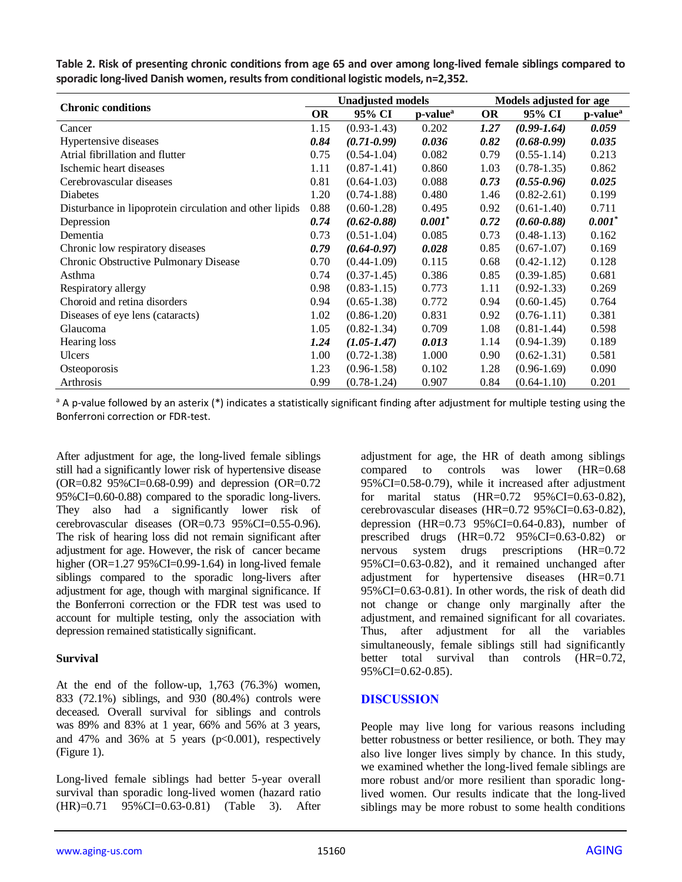| <b>Chronic conditions</b>                               |      | <b>Unadjusted models</b> |                      |           | Models adjusted for age |                      |  |  |
|---------------------------------------------------------|------|--------------------------|----------------------|-----------|-------------------------|----------------------|--|--|
|                                                         |      | 95% CI                   | p-value <sup>a</sup> | <b>OR</b> | 95% CI                  | p-value <sup>a</sup> |  |  |
| Cancer                                                  | 1.15 | $(0.93 - 1.43)$          | 0.202                | 1.27      | $(0.99 - 1.64)$         | 0.059                |  |  |
| Hypertensive diseases                                   | 0.84 | $(0.71 - 0.99)$          | 0.036                | 0.82      | $(0.68 - 0.99)$         | 0.035                |  |  |
| Atrial fibrillation and flutter                         | 0.75 | $(0.54 - 1.04)$          | 0.082                | 0.79      | $(0.55 - 1.14)$         | 0.213                |  |  |
| Ischemic heart diseases                                 | 1.11 | $(0.87 - 1.41)$          | 0.860                | 1.03      | $(0.78 - 1.35)$         | 0.862                |  |  |
| Cerebrovascular diseases                                | 0.81 | $(0.64 - 1.03)$          | 0.088                | 0.73      | $(0.55 - 0.96)$         | 0.025                |  |  |
| <b>Diabetes</b>                                         | 1.20 | $(0.74 - 1.88)$          | 0.480                | 1.46      | $(0.82 - 2.61)$         | 0.199                |  |  |
| Disturbance in lipoprotein circulation and other lipids | 0.88 | $(0.60-1.28)$            | 0.495                | 0.92      | $(0.61 - 1.40)$         | 0.711                |  |  |
| Depression                                              | 0.74 | $(0.62 - 0.88)$          | $0.001*$             | 0.72      | $(0.60 - 0.88)$         | $0.001*$             |  |  |
| Dementia                                                | 0.73 | $(0.51 - 1.04)$          | 0.085                | 0.73      | $(0.48 - 1.13)$         | 0.162                |  |  |
| Chronic low respiratory diseases                        | 0.79 | $(0.64 - 0.97)$          | 0.028                | 0.85      | $(0.67 - 1.07)$         | 0.169                |  |  |
| Chronic Obstructive Pulmonary Disease                   | 0.70 | $(0.44 - 1.09)$          | 0.115                | 0.68      | $(0.42 - 1.12)$         | 0.128                |  |  |
| Asthma                                                  | 0.74 | $(0.37-1.45)$            | 0.386                | 0.85      | $(0.39-1.85)$           | 0.681                |  |  |
| Respiratory allergy                                     | 0.98 | $(0.83 - 1.15)$          | 0.773                | 1.11      | $(0.92 - 1.33)$         | 0.269                |  |  |
| Choroid and retina disorders                            | 0.94 | $(0.65 - 1.38)$          | 0.772                | 0.94      | $(0.60-1.45)$           | 0.764                |  |  |
| Diseases of eye lens (cataracts)                        | 1.02 | $(0.86 - 1.20)$          | 0.831                | 0.92      | $(0.76 - 1.11)$         | 0.381                |  |  |
| Glaucoma                                                | 1.05 | $(0.82 - 1.34)$          | 0.709                | 1.08      | $(0.81 - 1.44)$         | 0.598                |  |  |
| Hearing loss                                            | 1.24 | $(1.05 - 1.47)$          | 0.013                | 1.14      | $(0.94 - 1.39)$         | 0.189                |  |  |
| <b>Ulcers</b>                                           | 1.00 | $(0.72 - 1.38)$          | 1.000                | 0.90      | $(0.62 - 1.31)$         | 0.581                |  |  |
| Osteoporosis                                            | 1.23 | $(0.96 - 1.58)$          | 0.102                | 1.28      | $(0.96-1.69)$           | 0.090                |  |  |
| Arthrosis                                               | 0.99 | $(0.78 - 1.24)$          | 0.907                | 0.84      | $(0.64 - 1.10)$         | 0.201                |  |  |

**Table 2. Risk of presenting chronic conditions from age 65 and over among long-lived female siblings compared to sporadic long-lived Danish women, results from conditional logistic models, n=2,352.**

<sup>a</sup> A p-value followed by an asterix (\*) indicates a statistically significant finding after adjustment for multiple testing using the Bonferroni correction or FDR-test.

After adjustment for age, the long-lived female siblings still had a significantly lower risk of hypertensive disease (OR=0.82 95%CI=0.68-0.99) and depression (OR=0.72 95%CI=0.60-0.88) compared to the sporadic long-livers. They also had a significantly lower risk of cerebrovascular diseases (OR=0.73 95%CI=0.55-0.96). The risk of hearing loss did not remain significant after adjustment for age. However, the risk of cancer became higher (OR=1.27 95%CI=0.99-1.64) in long-lived female siblings compared to the sporadic long-livers after adjustment for age, though with marginal significance. If the Bonferroni correction or the FDR test was used to account for multiple testing, only the association with depression remained statistically significant.

#### **Survival**

At the end of the follow-up, 1,763 (76.3%) women, 833 (72.1%) siblings, and 930 (80.4%) controls were deceased. Overall survival for siblings and controls was 89% and 83% at 1 year, 66% and 56% at 3 years, and 47% and 36% at 5 years ( $p<0.001$ ), respectively (Figure 1).

Long-lived female siblings had better 5-year overall survival than sporadic long-lived women (hazard ratio (HR)=0.71 95%CI=0.63-0.81) (Table 3). After

adjustment for age, the HR of death among siblings compared to controls was lower (HR=0.68 95%CI=0.58-0.79), while it increased after adjustment for marital status (HR=0.72 95%CI=0.63-0.82), cerebrovascular diseases (HR=0.72 95%CI=0.63-0.82), depression (HR= $0.73$  95%CI= $0.64$ - $0.83$ ), number of prescribed drugs (HR=0.72 95%CI=0.63-0.82) or nervous system drugs prescriptions (HR=0.72 95%CI=0.63-0.82), and it remained unchanged after adjustment for hypertensive diseases (HR=0.71 95%CI=0.63-0.81). In other words, the risk of death did not change or change only marginally after the adjustment, and remained significant for all covariates. Thus, after adjustment for all the variables simultaneously, female siblings still had significantly better total survival than controls (HR=0.72, 95%CI=0.62-0.85).

## **DISCUSSION**

People may live long for various reasons including better robustness or better resilience, or both. They may also live longer lives simply by chance. In this study, we examined whether the long-lived female siblings are more robust and/or more resilient than sporadic longlived women. Our results indicate that the long-lived siblings may be more robust to some health conditions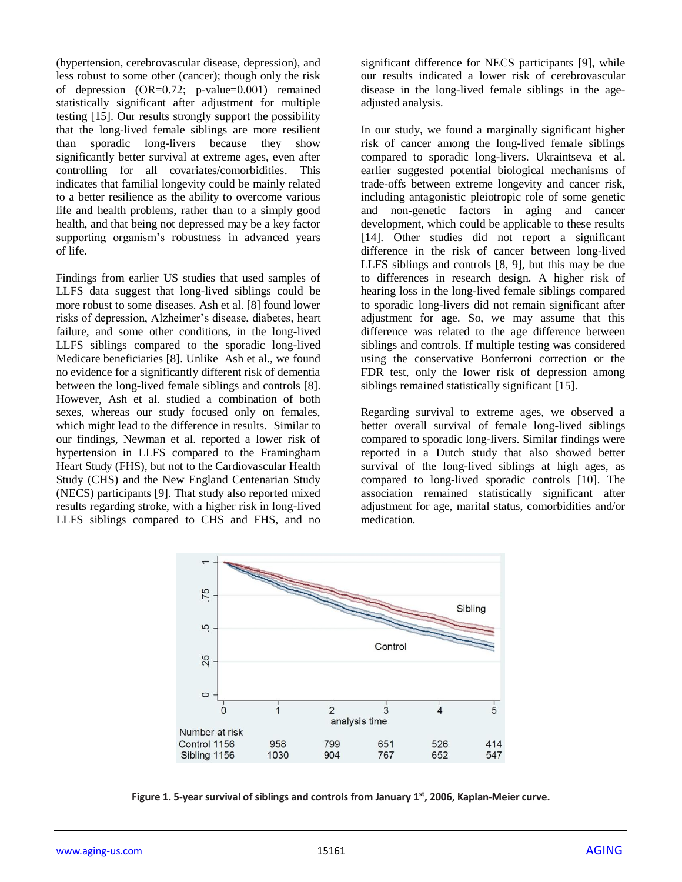(hypertension, cerebrovascular disease, depression), and less robust to some other (cancer); though only the risk of depression (OR=0.72; p-value=0.001) remained statistically significant after adjustment for multiple testing [15]. Our results strongly support the possibility that the long-lived female siblings are more resilient than sporadic long-livers because they show significantly better survival at extreme ages, even after controlling for all covariates/comorbidities. This indicates that familial longevity could be mainly related to a better resilience as the ability to overcome various life and health problems, rather than to a simply good health, and that being not depressed may be a key factor supporting organism's robustness in advanced years of life.

Findings from earlier US studies that used samples of LLFS data suggest that long-lived siblings could be more robust to some diseases. Ash et al. [8] found lower risks of depression, Alzheimer's disease, diabetes, heart failure, and some other conditions, in the long-lived LLFS siblings compared to the sporadic long-lived Medicare beneficiaries [8]. Unlike Ash et al., we found no evidence for a significantly different risk of dementia between the long-lived female siblings and controls [8]. However, Ash et al. studied a combination of both sexes, whereas our study focused only on females, which might lead to the difference in results. Similar to our findings, Newman et al. reported a lower risk of hypertension in LLFS compared to the Framingham Heart Study (FHS), but not to the Cardiovascular Health Study (CHS) and the New England Centenarian Study (NECS) participants [9]. That study also reported mixed results regarding stroke, with a higher risk in long-lived LLFS siblings compared to CHS and FHS, and no

significant difference for NECS participants [9], while our results indicated a lower risk of cerebrovascular disease in the long-lived female siblings in the ageadjusted analysis.

In our study, we found a marginally significant higher risk of cancer among the long-lived female siblings compared to sporadic long-livers. Ukraintseva et al. earlier suggested potential biological mechanisms of trade-offs between extreme longevity and cancer risk, including antagonistic pleiotropic role of some genetic and non-genetic factors in aging and cancer development, which could be applicable to these results [14]. Other studies did not report a significant difference in the risk of cancer between long-lived LLFS siblings and controls [8, 9], but this may be due to differences in research design. A higher risk of hearing loss in the long-lived female siblings compared to sporadic long-livers did not remain significant after adjustment for age. So, we may assume that this difference was related to the age difference between siblings and controls. If multiple testing was considered using the conservative Bonferroni correction or the FDR test, only the lower risk of depression among siblings remained statistically significant [15].

Regarding survival to extreme ages, we observed a better overall survival of female long-lived siblings compared to sporadic long-livers. Similar findings were reported in a Dutch study that also showed better survival of the long-lived siblings at high ages, as compared to long-lived sporadic controls [10]. The association remained statistically significant after adjustment for age, marital status, comorbidities and/or medication.



**Figure 1. 5-year survival of siblings and controls from January 1st, 2006, Kaplan-Meier curve.**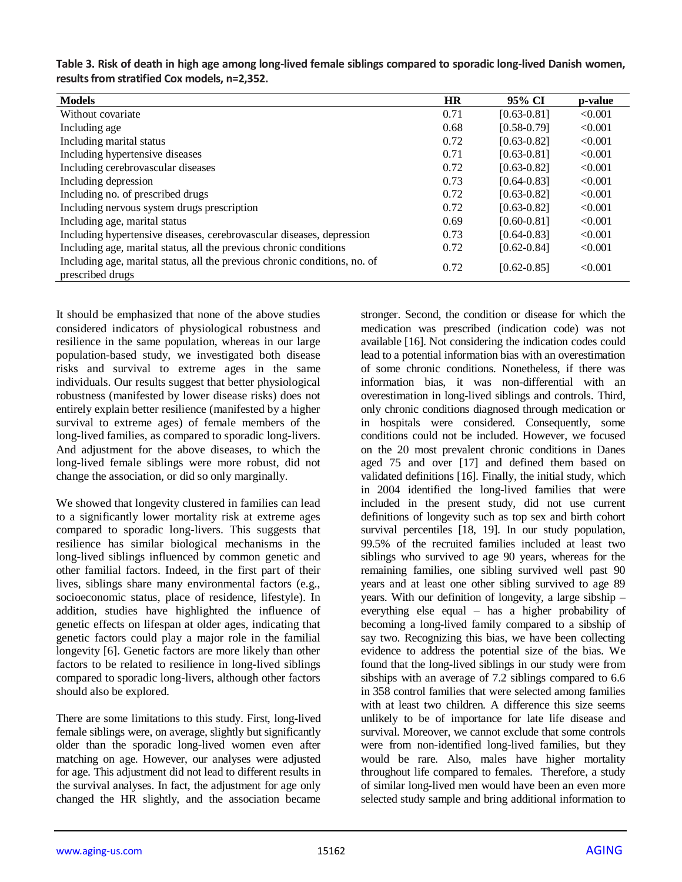| <b>Models</b>                                                                                  | <b>HR</b> | 95% CI          | p-value |
|------------------------------------------------------------------------------------------------|-----------|-----------------|---------|
| Without covariate                                                                              | 0.71      | $[0.63 - 0.81]$ | < 0.001 |
| Including age                                                                                  | 0.68      | $[0.58 - 0.79]$ | < 0.001 |
| Including marital status                                                                       | 0.72      | $[0.63 - 0.82]$ | < 0.001 |
| Including hypertensive diseases                                                                | 0.71      | $[0.63 - 0.81]$ | < 0.001 |
| Including cerebrovascular diseases                                                             | 0.72      | $[0.63 - 0.82]$ | < 0.001 |
| Including depression                                                                           | 0.73      | $[0.64 - 0.83]$ | < 0.001 |
| Including no. of prescribed drugs                                                              | 0.72      | $[0.63 - 0.82]$ | < 0.001 |
| Including nervous system drugs prescription                                                    | 0.72      | $[0.63 - 0.82]$ | < 0.001 |
| Including age, marital status                                                                  | 0.69      | $[0.60 - 0.81]$ | < 0.001 |
| Including hypertensive diseases, cerebrovascular diseases, depression                          | 0.73      | $[0.64 - 0.83]$ | < 0.001 |
| Including age, marital status, all the previous chronic conditions                             | 0.72      | $[0.62 - 0.84]$ | < 0.001 |
| Including age, marital status, all the previous chronic conditions, no. of<br>prescribed drugs | 0.72      | $[0.62 - 0.85]$ | < 0.001 |

**Table 3. Risk of death in high age among long-lived female siblings compared to sporadic long-lived Danish women, results from stratified Cox models, n=2,352.**

It should be emphasized that none of the above studies considered indicators of physiological robustness and resilience in the same population, whereas in our large population-based study, we investigated both disease risks and survival to extreme ages in the same individuals. Our results suggest that better physiological robustness (manifested by lower disease risks) does not entirely explain better resilience (manifested by a higher survival to extreme ages) of female members of the long-lived families, as compared to sporadic long-livers. And adjustment for the above diseases, to which the long-lived female siblings were more robust, did not change the association, or did so only marginally.

We showed that longevity clustered in families can lead to a significantly lower mortality risk at extreme ages compared to sporadic long-livers. This suggests that resilience has similar biological mechanisms in the long-lived siblings influenced by common genetic and other familial factors. Indeed, in the first part of their lives, siblings share many environmental factors (e.g., socioeconomic status, place of residence, lifestyle). In addition, studies have highlighted the influence of genetic effects on lifespan at older ages, indicating that genetic factors could play a major role in the familial longevity [6]. Genetic factors are more likely than other factors to be related to resilience in long-lived siblings compared to sporadic long-livers, although other factors should also be explored.

There are some limitations to this study. First, long-lived female siblings were, on average, slightly but significantly older than the sporadic long-lived women even after matching on age. However, our analyses were adjusted for age. This adjustment did not lead to different results in the survival analyses. In fact, the adjustment for age only changed the HR slightly, and the association became

stronger. Second, the condition or disease for which the medication was prescribed (indication code) was not available [16]. Not considering the indication codes could lead to a potential information bias with an overestimation of some chronic conditions. Nonetheless, if there was information bias, it was non-differential with an overestimation in long-lived siblings and controls. Third, only chronic conditions diagnosed through medication or in hospitals were considered. Consequently, some conditions could not be included. However, we focused on the 20 most prevalent chronic conditions in Danes aged 75 and over [17] and defined them based on validated definitions [16]. Finally, the initial study, which in 2004 identified the long-lived families that were included in the present study, did not use current definitions of longevity such as top sex and birth cohort survival percentiles [18, 19]. In our study population, 99.5% of the recruited families included at least two siblings who survived to age 90 years, whereas for the remaining families, one sibling survived well past 90 years and at least one other sibling survived to age 89 years. With our definition of longevity, a large sibship – everything else equal – has a higher probability of becoming a long-lived family compared to a sibship of say two. Recognizing this bias, we have been collecting evidence to address the potential size of the bias. We found that the long-lived siblings in our study were from sibships with an average of 7.2 siblings compared to 6.6 in 358 control families that were selected among families with at least two children. A difference this size seems unlikely to be of importance for late life disease and survival. Moreover, we cannot exclude that some controls were from non-identified long-lived families, but they would be rare. Also, males have higher mortality throughout life compared to females. Therefore, a study of similar long-lived men would have been an even more selected study sample and bring additional information to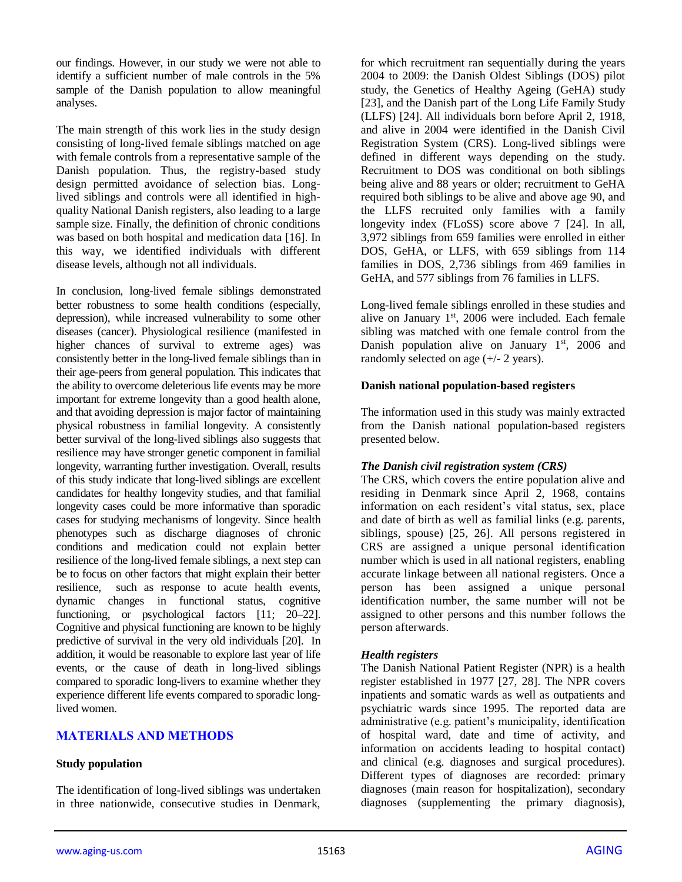our findings. However, in our study we were not able to identify a sufficient number of male controls in the 5% sample of the Danish population to allow meaningful analyses.

The main strength of this work lies in the study design consisting of long-lived female siblings matched on age with female controls from a representative sample of the Danish population. Thus, the registry-based study design permitted avoidance of selection bias. Longlived siblings and controls were all identified in highquality National Danish registers, also leading to a large sample size. Finally, the definition of chronic conditions was based on both hospital and medication data [16]. In this way, we identified individuals with different disease levels, although not all individuals.

In conclusion, long-lived female siblings demonstrated better robustness to some health conditions (especially, depression), while increased vulnerability to some other diseases (cancer). Physiological resilience (manifested in higher chances of survival to extreme ages) was consistently better in the long-lived female siblings than in their age-peers from general population. This indicates that the ability to overcome deleterious life events may be more important for extreme longevity than a good health alone, and that avoiding depression is major factor of maintaining physical robustness in familial longevity. A consistently better survival of the long-lived siblings also suggests that resilience may have stronger genetic component in familial longevity, warranting further investigation. Overall, results of this study indicate that long-lived siblings are excellent candidates for healthy longevity studies, and that familial longevity cases could be more informative than sporadic cases for studying mechanisms of longevity. Since health phenotypes such as discharge diagnoses of chronic conditions and medication could not explain better resilience of the long-lived female siblings, a next step can be to focus on other factors that might explain their better resilience, such as response to acute health events, dynamic changes in functional status, cognitive functioning, or psychological factors [11; 20–22]. Cognitive and physical functioning are known to be highly predictive of survival in the very old individuals [20]. In addition, it would be reasonable to explore last year of life events, or the cause of death in long-lived siblings compared to sporadic long-livers to examine whether they experience different life events compared to sporadic longlived women.

## **MATERIALS AND METHODS**

#### **Study population**

The identification of long-lived siblings was undertaken in three nationwide, consecutive studies in Denmark, for which recruitment ran sequentially during the years 2004 to 2009: the Danish Oldest Siblings (DOS) pilot study, the Genetics of Healthy Ageing (GeHA) study [23], and the Danish part of the Long Life Family Study (LLFS) [24]. All individuals born before April 2, 1918, and alive in 2004 were identified in the Danish Civil Registration System (CRS). Long-lived siblings were defined in different ways depending on the study. Recruitment to DOS was conditional on both siblings being alive and 88 years or older; recruitment to GeHA required both siblings to be alive and above age 90, and the LLFS recruited only families with a family longevity index (FLoSS) score above 7 [24]. In all, 3,972 siblings from 659 families were enrolled in either DOS, GeHA, or LLFS, with 659 siblings from 114 families in DOS, 2,736 siblings from 469 families in GeHA, and 577 siblings from 76 families in LLFS.

Long-lived female siblings enrolled in these studies and alive on January  $1<sup>st</sup>$ , 2006 were included. Each female sibling was matched with one female control from the Danish population alive on January  $1<sup>st</sup>$ , 2006 and randomly selected on age (+/- 2 years).

#### **Danish national population-based registers**

The information used in this study was mainly extracted from the Danish national population-based registers presented below.

#### *The Danish civil registration system (CRS)*

The CRS, which covers the entire population alive and residing in Denmark since April 2, 1968, contains information on each resident's vital status, sex, place and date of birth as well as familial links (e.g. parents, siblings, spouse) [25, 26]. All persons registered in CRS are assigned a unique personal identification number which is used in all national registers, enabling accurate linkage between all national registers. Once a person has been assigned a unique personal identification number, the same number will not be assigned to other persons and this number follows the person afterwards.

#### *Health registers*

The Danish National Patient Register (NPR) is a health register established in 1977 [27, 28]. The NPR covers inpatients and somatic wards as well as outpatients and psychiatric wards since 1995. The reported data are administrative (e.g. patient's municipality, identification of hospital ward, date and time of activity, and information on accidents leading to hospital contact) and clinical (e.g. diagnoses and surgical procedures). Different types of diagnoses are recorded: primary diagnoses (main reason for hospitalization), secondary diagnoses (supplementing the primary diagnosis),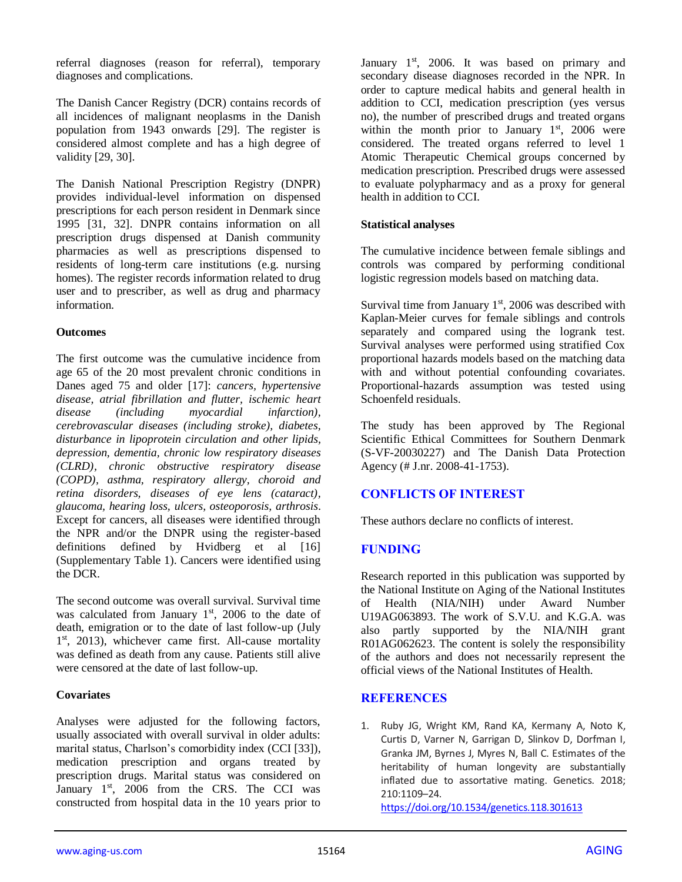referral diagnoses (reason for referral), temporary diagnoses and complications.

The Danish Cancer Registry (DCR) contains records of all incidences of malignant neoplasms in the Danish population from 1943 onwards [29]. The register is considered almost complete and has a high degree of validity [29, 30].

The Danish National Prescription Registry (DNPR) provides individual-level information on dispensed prescriptions for each person resident in Denmark since 1995 [31, 32]. DNPR contains information on all prescription drugs dispensed at Danish community pharmacies as well as prescriptions dispensed to residents of long-term care institutions (e.g. nursing homes). The register records information related to drug user and to prescriber, as well as drug and pharmacy information.

## **Outcomes**

The first outcome was the cumulative incidence from age 65 of the 20 most prevalent chronic conditions in Danes aged 75 and older [17]: *cancers, hypertensive disease, atrial fibrillation and flutter, ischemic heart disease (including myocardial infarction), cerebrovascular diseases (including stroke), diabetes, disturbance in lipoprotein circulation and other lipids, depression, dementia, chronic low respiratory diseases (CLRD), chronic obstructive respiratory disease (COPD), asthma, respiratory allergy, choroid and retina disorders, diseases of eye lens (cataract), glaucoma, hearing loss, ulcers, osteoporosis, arthrosis*. Except for cancers, all diseases were identified through the NPR and/or the DNPR using the register-based definitions defined by Hvidberg et al [16] (Supplementary Table 1). Cancers were identified using the DCR.

The second outcome was overall survival. Survival time was calculated from January  $1<sup>st</sup>$ , 2006 to the date of death, emigration or to the date of last follow-up (July 1<sup>st</sup>, 2013), whichever came first. All-cause mortality was defined as death from any cause. Patients still alive were censored at the date of last follow-up.

## **Covariates**

Analyses were adjusted for the following factors, usually associated with overall survival in older adults: marital status, Charlson's comorbidity index (CCI [33]), medication prescription and organs treated by prescription drugs. Marital status was considered on January 1<sup>st</sup>, 2006 from the CRS. The CCI was constructed from hospital data in the 10 years prior to

January  $1<sup>st</sup>$ , 2006. It was based on primary and secondary disease diagnoses recorded in the NPR. In order to capture medical habits and general health in addition to CCI, medication prescription (yes versus no), the number of prescribed drugs and treated organs within the month prior to January  $1<sup>st</sup>$ , 2006 were considered. The treated organs referred to level 1 Atomic Therapeutic Chemical groups concerned by medication prescription. Prescribed drugs were assessed to evaluate polypharmacy and as a proxy for general health in addition to CCI.

## **Statistical analyses**

The cumulative incidence between female siblings and controls was compared by performing conditional logistic regression models based on matching data.

Survival time from January  $1<sup>st</sup>$ , 2006 was described with Kaplan-Meier curves for female siblings and controls separately and compared using the logrank test. Survival analyses were performed using stratified Cox proportional hazards models based on the matching data with and without potential confounding covariates. Proportional-hazards assumption was tested using Schoenfeld residuals.

The study has been approved by The Regional Scientific Ethical Committees for Southern Denmark (S-VF-20030227) and The Danish Data Protection Agency (# J.nr. 2008-41-1753).

# **CONFLICTS OF INTEREST**

These authors declare no conflicts of interest.

# **FUNDING**

Research reported in this publication was supported by the National Institute on Aging of the National Institutes of Health (NIA/NIH) under Award Number U19AG063893. The work of S.V.U. and K.G.A. was also partly supported by the NIA/NIH grant R01AG062623. The content is solely the responsibility of the authors and does not necessarily represent the official views of the National Institutes of Health.

# **REFERENCES**

1. Ruby JG, Wright KM, Rand KA, Kermany A, Noto K, Curtis D, Varner N, Garrigan D, Slinkov D, Dorfman I, Granka JM, Byrnes J, Myres N, Ball C. Estimates of the heritability of human longevity are substantially inflated due to assortative mating. Genetics. 2018; 210:1109–24.

<https://doi.org/10.1534/genetics.118.301613>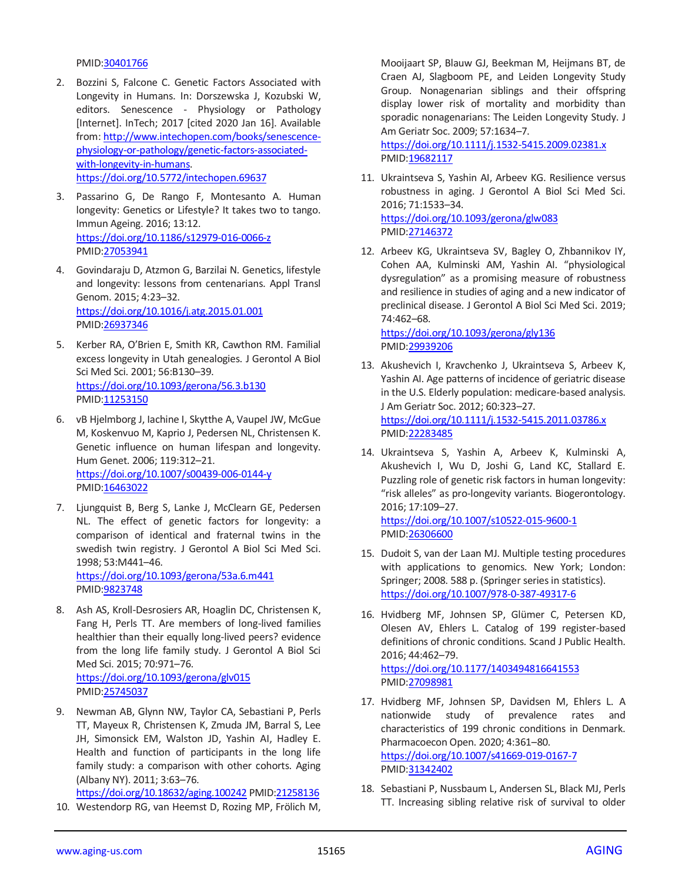PMID[:30401766](https://pubmed.ncbi.nlm.nih.gov/30401766)

- 2. Bozzini S, Falcone C. Genetic Factors Associated with Longevity in Humans. In: Dorszewska J, Kozubski W, editors. Senescence - Physiology or Pathology [Internet]. InTech; 2017 [cited 2020 Jan 16]. Available from: [http://www.intechopen.com/books/senescence](http://www.intechopen.com/books/senescence-physiology-or-pathology/genetic-factors-associated-with-longevity-in-humans)[physiology-or-pathology/genetic-factors-associated](http://www.intechopen.com/books/senescence-physiology-or-pathology/genetic-factors-associated-with-longevity-in-humans)[with-longevity-in-humans.](http://www.intechopen.com/books/senescence-physiology-or-pathology/genetic-factors-associated-with-longevity-in-humans) <https://doi.org/10.5772/intechopen.69637>
- 3. Passarino G, De Rango F, Montesanto A. Human longevity: Genetics or Lifestyle? It takes two to tango. Immun Ageing. 2016; 13:12. <https://doi.org/10.1186/s12979-016-0066-z> PMID[:27053941](https://pubmed.ncbi.nlm.nih.gov/27053941)
- 4. Govindaraju D, Atzmon G, Barzilai N. Genetics, lifestyle and longevity: lessons from centenarians. Appl Transl Genom. 2015; 4:23–32. <https://doi.org/10.1016/j.atg.2015.01.001> PMID[:26937346](https://pubmed.ncbi.nlm.nih.gov/26937346)
- 5. Kerber RA, O'Brien E, Smith KR, Cawthon RM. Familial excess longevity in Utah genealogies. J Gerontol A Biol Sci Med Sci. 2001; 56:B130–39. <https://doi.org/10.1093/gerona/56.3.b130> PMID[:11253150](https://pubmed.ncbi.nlm.nih.gov/11253150)
- 6. vB Hjelmborg J, Iachine I, Skytthe A, Vaupel JW, McGue M, Koskenvuo M, Kaprio J, Pedersen NL, Christensen K. Genetic influence on human lifespan and longevity. Hum Genet. 2006; 119:312–21. <https://doi.org/10.1007/s00439-006-0144-y> PMID[:16463022](https://pubmed.ncbi.nlm.nih.gov/16463022)
- 7. Ljungquist B, Berg S, Lanke J, McClearn GE, Pedersen NL. The effect of genetic factors for longevity: a comparison of identical and fraternal twins in the swedish twin registry. J Gerontol A Biol Sci Med Sci. 1998; 53:M441–46. <https://doi.org/10.1093/gerona/53a.6.m441> PMID[:9823748](https://pubmed.ncbi.nlm.nih.gov/9823748)
- 8. Ash AS, Kroll-Desrosiers AR, Hoaglin DC, Christensen K, Fang H, Perls TT. Are members of long-lived families healthier than their equally long-lived peers? evidence from the long life family study. J Gerontol A Biol Sci Med Sci. 2015; 70:971–76. <https://doi.org/10.1093/gerona/glv015> PMID[:25745037](https://pubmed.ncbi.nlm.nih.gov/25745037)
- 9. Newman AB, Glynn NW, Taylor CA, Sebastiani P, Perls TT, Mayeux R, Christensen K, Zmuda JM, Barral S, Lee JH, Simonsick EM, Walston JD, Yashin AI, Hadley E. Health and function of participants in the long life family study: a comparison with other cohorts. Aging (Albany NY). 2011; 3:63–76.

<https://doi.org/10.18632/aging.100242> PMID[:21258136](https://pubmed.ncbi.nlm.nih.gov/21258136) 10. Westendorp RG, van Heemst D, Rozing MP, Frölich M,

Mooijaart SP, Blauw GJ, Beekman M, Heijmans BT, de Craen AJ, Slagboom PE, and Leiden Longevity Study Group. Nonagenarian siblings and their offspring display lower risk of mortality and morbidity than sporadic nonagenarians: The Leiden Longevity Study. J Am Geriatr Soc. 2009; 57:1634–7.

<https://doi.org/10.1111/j.1532-5415.2009.02381.x> PMI[D:19682117](https://pubmed.ncbi.nlm.nih.gov/19682117)

- 11. Ukraintseva S, Yashin AI, Arbeev KG. Resilience versus robustness in aging. J Gerontol A Biol Sci Med Sci. 2016; 71:1533–34. <https://doi.org/10.1093/gerona/glw083> PMI[D:27146372](https://pubmed.ncbi.nlm.nih.gov/27146372)
- 12. Arbeev KG, Ukraintseva SV, Bagley O, Zhbannikov IY, Cohen AA, Kulminski AM, Yashin AI. "physiological dysregulation" as a promising measure of robustness and resilience in studies of aging and a new indicator of preclinical disease. J Gerontol A Biol Sci Med Sci. 2019; 74:462–68.

<https://doi.org/10.1093/gerona/gly136> PMI[D:29939206](https://pubmed.ncbi.nlm.nih.gov/29939206)

- 13. Akushevich I, Kravchenko J, Ukraintseva S, Arbeev K, Yashin AI. Age patterns of incidence of geriatric disease in the U.S. Elderly population: medicare-based analysis. J Am Geriatr Soc. 2012; 60:323–27. <https://doi.org/10.1111/j.1532-5415.2011.03786.x> PMI[D:22283485](https://pubmed.ncbi.nlm.nih.gov/22283485)
- 14. Ukraintseva S, Yashin A, Arbeev K, Kulminski A, Akushevich I, Wu D, Joshi G, Land KC, Stallard E. Puzzling role of genetic risk factors in human longevity: "risk alleles" as pro-longevity variants. Biogerontology. 2016; 17:109–27.

<https://doi.org/10.1007/s10522-015-9600-1> PMI[D:26306600](https://pubmed.ncbi.nlm.nih.gov/26306600)

- 15. Dudoit S, van der Laan MJ. Multiple testing procedures with applications to genomics. New York; London: Springer; 2008. 588 p. (Springer series in statistics). <https://doi.org/10.1007/978-0-387-49317-6>
- 16. Hvidberg MF, Johnsen SP, Glümer C, Petersen KD, Olesen AV, Ehlers L. Catalog of 199 register-based definitions of chronic conditions. Scand J Public Health. 2016; 44:462–79. <https://doi.org/10.1177/1403494816641553> PMI[D:27098981](https://pubmed.ncbi.nlm.nih.gov/27098981)
- 17. Hvidberg MF, Johnsen SP, Davidsen M, Ehlers L. A nationwide study of prevalence rates and characteristics of 199 chronic conditions in Denmark. Pharmacoecon Open. 2020; 4:361–80. <https://doi.org/10.1007/s41669-019-0167-7> PMI[D:31342402](https://pubmed.ncbi.nlm.nih.gov/31342402)
- 18. Sebastiani P, Nussbaum L, Andersen SL, Black MJ, Perls TT. Increasing sibling relative risk of survival to older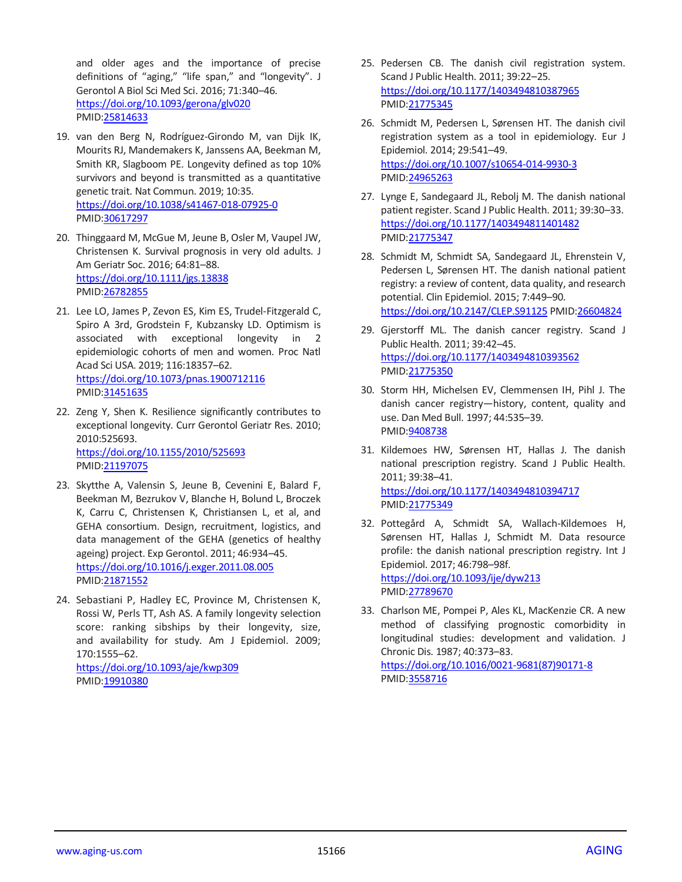and older ages and the importance of precise definitions of "aging," "life span," and "longevity". J Gerontol A Biol Sci Med Sci. 2016; 71:340–46. <https://doi.org/10.1093/gerona/glv020> PMID[:25814633](https://pubmed.ncbi.nlm.nih.gov/25814633)

- 19. van den Berg N, Rodríguez-Girondo M, van Dijk IK, Mourits RJ, Mandemakers K, Janssens AA, Beekman M, Smith KR, Slagboom PE. Longevity defined as top 10% survivors and beyond is transmitted as a quantitative genetic trait. Nat Commun. 2019; 10:35. <https://doi.org/10.1038/s41467-018-07925-0> PMID[:30617297](https://pubmed.ncbi.nlm.nih.gov/30617297)
- 20. Thinggaard M, McGue M, Jeune B, Osler M, Vaupel JW, Christensen K. Survival prognosis in very old adults. J Am Geriatr Soc. 2016; 64:81–88. <https://doi.org/10.1111/jgs.13838> PMID[:26782855](https://pubmed.ncbi.nlm.nih.gov/26782855)
- 21. Lee LO, James P, Zevon ES, Kim ES, Trudel-Fitzgerald C, Spiro A 3rd, Grodstein F, Kubzansky LD. Optimism is associated with exceptional longevity in 2 epidemiologic cohorts of men and women. Proc Natl Acad Sci USA. 2019; 116:18357–62. <https://doi.org/10.1073/pnas.1900712116> PMID[:31451635](https://pubmed.ncbi.nlm.nih.gov/31451635)
- 22. Zeng Y, Shen K. Resilience significantly contributes to exceptional longevity. Curr Gerontol Geriatr Res. 2010; 2010:525693. <https://doi.org/10.1155/2010/525693> PMID[:21197075](https://pubmed.ncbi.nlm.nih.gov/21197075)
- 23. Skytthe A, Valensin S, Jeune B, Cevenini E, Balard F, Beekman M, Bezrukov V, Blanche H, Bolund L, Broczek K, Carru C, Christensen K, Christiansen L, et al, and GEHA consortium. Design, recruitment, logistics, and data management of the GEHA (genetics of healthy ageing) project. Exp Gerontol. 2011; 46:934–45. <https://doi.org/10.1016/j.exger.2011.08.005> PMID[:21871552](https://pubmed.ncbi.nlm.nih.gov/21871552)
- 24. Sebastiani P, Hadley EC, Province M, Christensen K, Rossi W, Perls TT, Ash AS. A family longevity selection score: ranking sibships by their longevity, size, and availability for study. Am J Epidemiol. 2009; 170:1555–62. <https://doi.org/10.1093/aje/kwp309> PMID[:19910380](https://pubmed.ncbi.nlm.nih.gov/19910380)
- 25. Pedersen CB. The danish civil registration system. Scand J Public Health. 2011; 39:22–25. <https://doi.org/10.1177/1403494810387965> PMI[D:21775345](https://pubmed.ncbi.nlm.nih.gov/21775345)
- 26. Schmidt M, Pedersen L, Sørensen HT. The danish civil registration system as a tool in epidemiology. Eur J Epidemiol. 2014; 29:541–49. <https://doi.org/10.1007/s10654-014-9930-3> PMI[D:24965263](https://pubmed.ncbi.nlm.nih.gov/24965263)
- 27. Lynge E, Sandegaard JL, Rebolj M. The danish national patient register. Scand J Public Health. 2011; 39:30–33. <https://doi.org/10.1177/1403494811401482> PMI[D:21775347](https://pubmed.ncbi.nlm.nih.gov/21775347)
- 28. Schmidt M, Schmidt SA, Sandegaard JL, Ehrenstein V, Pedersen L, Sørensen HT. The danish national patient registry: a review of content, data quality, and research potential. Clin Epidemiol. 2015; 7:449–90. <https://doi.org/10.2147/CLEP.S91125> PMI[D:26604824](https://pubmed.ncbi.nlm.nih.gov/26604824)
- 29. Gjerstorff ML. The danish cancer registry. Scand J Public Health. 2011; 39:42–45. <https://doi.org/10.1177/1403494810393562> PMI[D:21775350](https://pubmed.ncbi.nlm.nih.gov/21775350)
- 30. Storm HH, Michelsen EV, Clemmensen IH, Pihl J. The danish cancer registry—history, content, quality and use. Dan Med Bull. 1997; 44:535–39. PMI[D:9408738](https://pubmed.ncbi.nlm.nih.gov/9408738)
- 31. Kildemoes HW, Sørensen HT, Hallas J. The danish national prescription registry. Scand J Public Health. 2011; 39:38–41. <https://doi.org/10.1177/1403494810394717> PMI[D:21775349](https://pubmed.ncbi.nlm.nih.gov/21775349)
- 32. Pottegård A, Schmidt SA, Wallach-Kildemoes H, Sørensen HT, Hallas J, Schmidt M. Data resource profile: the danish national prescription registry. Int J Epidemiol. 2017; 46:798–98f. <https://doi.org/10.1093/ije/dyw213> PMI[D:27789670](https://pubmed.ncbi.nlm.nih.gov/27789670)
- 33. Charlson ME, Pompei P, Ales KL, MacKenzie CR. A new method of classifying prognostic comorbidity in longitudinal studies: development and validation. J Chronic Dis. 1987; 40:373–83. [https://doi.org/10.1016/0021-9681\(87\)90171-8](https://doi.org/10.1016/0021-9681(87)90171-8) PMI[D:3558716](https://pubmed.ncbi.nlm.nih.gov/3558716)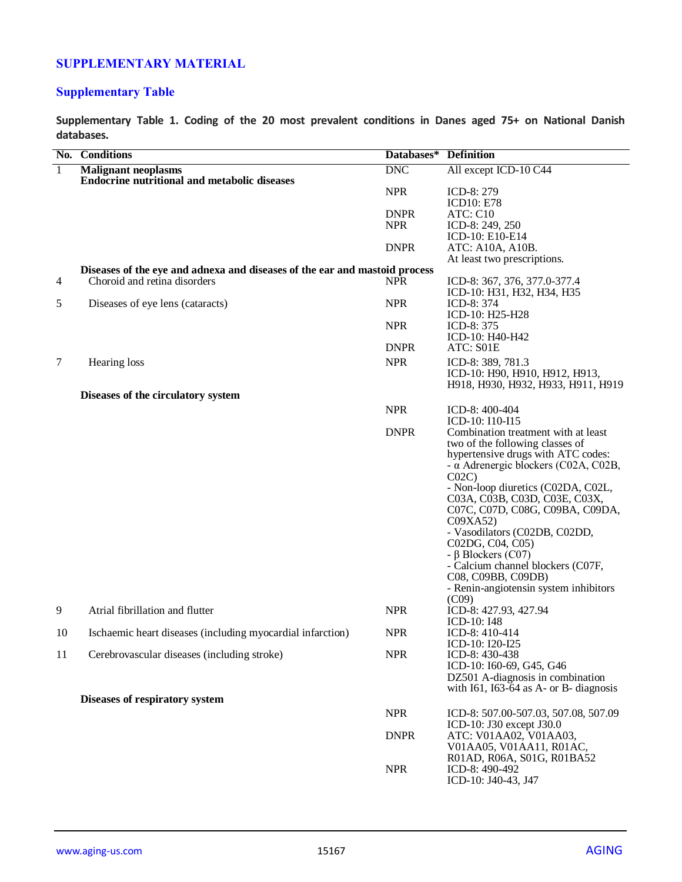## **SUPPLEMENTARY MATERIAL**

# **Supplementary Table**

**Supplementary Table 1. Coding of the 20 most prevalent conditions in Danes aged 75+ on National Danish databases.**

|                | No. Conditions                                                             | Databases*  | <b>Definition</b>                                            |
|----------------|----------------------------------------------------------------------------|-------------|--------------------------------------------------------------|
| $\overline{1}$ | <b>Malignant neoplasms</b>                                                 | <b>DNC</b>  | All except ICD-10 C44                                        |
|                | <b>Endocrine nutritional and metabolic diseases</b>                        |             |                                                              |
|                |                                                                            | <b>NPR</b>  | ICD-8: 279                                                   |
|                |                                                                            |             | <b>ICD10: E78</b>                                            |
|                |                                                                            | <b>DNPR</b> | ATC: C10                                                     |
|                |                                                                            | <b>NPR</b>  | ICD-8: 249, 250<br>ICD-10: E10-E14                           |
|                |                                                                            | <b>DNPR</b> | ATC: A10A, A10B.                                             |
|                |                                                                            |             | At least two prescriptions.                                  |
|                | Diseases of the eye and adnexa and diseases of the ear and mastoid process |             |                                                              |
| $\overline{4}$ | Choroid and retina disorders                                               | <b>NPR</b>  | ICD-8: 367, 376, 377.0-377.4                                 |
|                |                                                                            |             | ICD-10: H31, H32, H34, H35                                   |
| 5              | Diseases of eye lens (cataracts)                                           | <b>NPR</b>  | ICD-8: 374                                                   |
|                |                                                                            | <b>NPR</b>  | ICD-10: H25-H28                                              |
|                |                                                                            |             | ICD-8: 375<br>ICD-10: H40-H42                                |
|                |                                                                            | <b>DNPR</b> | ATC: S01E                                                    |
| 7              | Hearing loss                                                               | <b>NPR</b>  | ICD-8: 389, 781.3                                            |
|                |                                                                            |             | ICD-10: H90, H910, H912, H913,                               |
|                |                                                                            |             | H918, H930, H932, H933, H911, H919                           |
|                | Diseases of the circulatory system                                         |             |                                                              |
|                |                                                                            | <b>NPR</b>  | ICD-8: 400-404                                               |
|                |                                                                            |             | ICD-10: I10-I15                                              |
|                |                                                                            | <b>DNPR</b> | Combination treatment with at least                          |
|                |                                                                            |             | two of the following classes of                              |
|                |                                                                            |             | hypertensive drugs with ATC codes:                           |
|                |                                                                            |             | $-\alpha$ Adrenergic blockers (C02A, C02B,                   |
|                |                                                                            |             | C <sub>02</sub> C<br>- Non-loop diuretics (C02DA, C02L,      |
|                |                                                                            |             | C03A, C03B, C03D, C03E, C03X,                                |
|                |                                                                            |             | C07C, C07D, C08G, C09BA, C09DA,                              |
|                |                                                                            |             | CO9XA52                                                      |
|                |                                                                            |             | - Vasodilators (C02DB, C02DD,                                |
|                |                                                                            |             | C02DG, C04, C05)                                             |
|                |                                                                            |             | - β Blockers $(C07)$                                         |
|                |                                                                            |             | - Calcium channel blockers (C07F,                            |
|                |                                                                            |             | C08, C09BB, C09DB)<br>- Renin-angiotensin system inhibitors  |
|                |                                                                            |             | (C09)                                                        |
| 9              | Atrial fibrillation and flutter                                            | <b>NPR</b>  | ICD-8: 427.93, 427.94                                        |
|                |                                                                            |             | ICD-10: I48                                                  |
| 10             | Ischaemic heart diseases (including myocardial infarction)                 | <b>NPR</b>  | ICD-8: 410-414                                               |
|                |                                                                            |             | ICD-10: I20-I25                                              |
| 11             | Cerebrovascular diseases (including stroke)                                | <b>NPR</b>  | ICD-8: 430-438                                               |
|                |                                                                            |             | ICD-10: I60-69, G45, G46<br>DZ501 A-diagnosis in combination |
|                |                                                                            |             | with $I61$ , $I63-64$ as A- or B- diagnosis                  |
|                | Diseases of respiratory system                                             |             |                                                              |
|                |                                                                            | <b>NPR</b>  | ICD-8: 507.00-507.03, 507.08, 507.09                         |
|                |                                                                            |             | ICD-10: J30 except J30.0                                     |
|                |                                                                            | <b>DNPR</b> | ATC: V01AA02, V01AA03,                                       |
|                |                                                                            |             | V01AA05, V01AA11, R01AC,                                     |
|                |                                                                            |             | R01AD, R06A, S01G, R01BA52                                   |
|                |                                                                            | <b>NPR</b>  | ICD-8: 490-492                                               |
|                |                                                                            |             | ICD-10: J40-43, J47                                          |